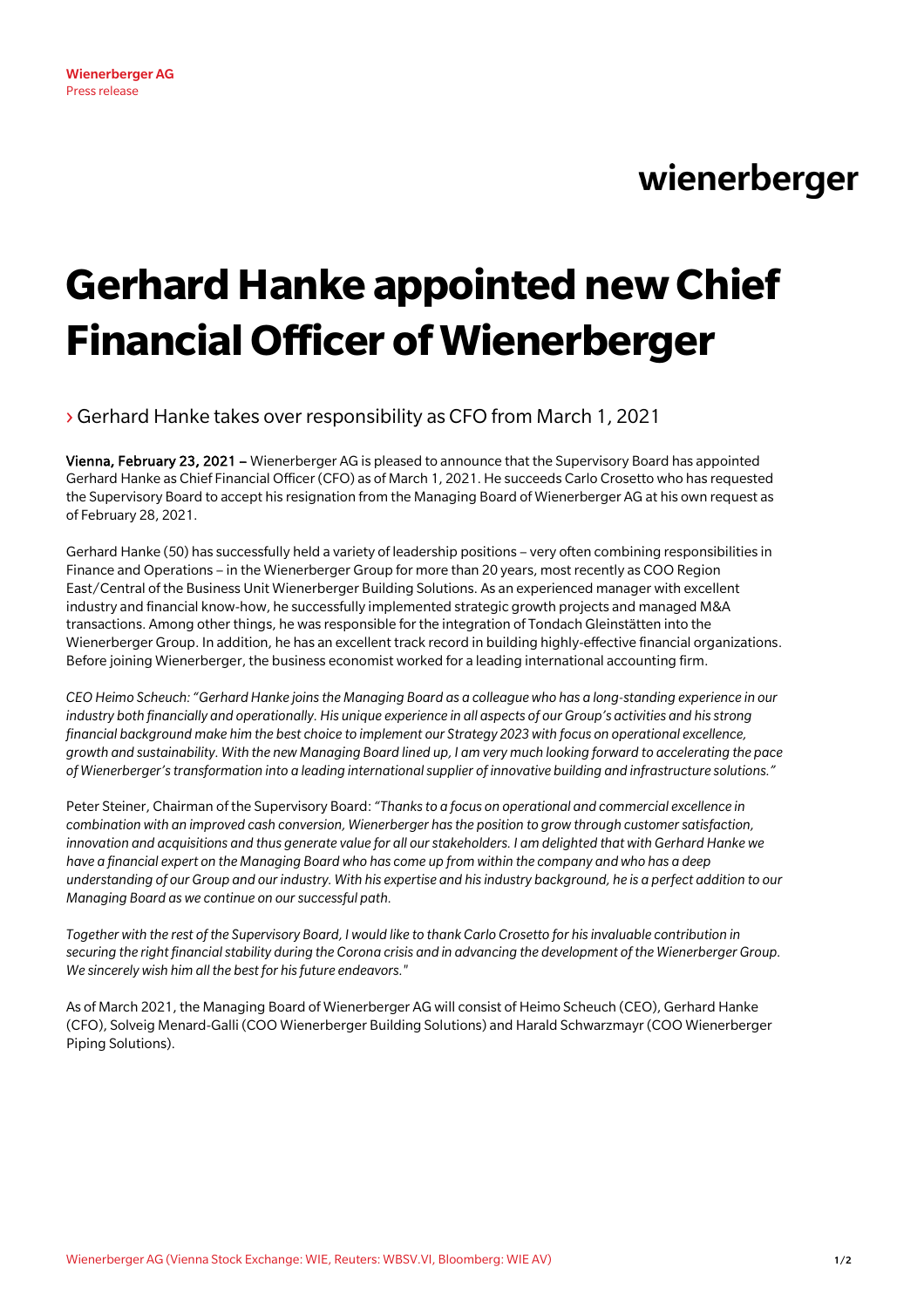## wienerberger

## **Gerhard Hanke appointed new Chief Financial Officer of Wienerberger**

›Gerhard Hanke takes over responsibility as CFO from March 1, 2021

Vienna, February 23, 2021 – Wienerberger AG is pleased to announce that the Supervisory Board has appointed Gerhard Hanke as Chief Financial Officer (CFO) as of March 1, 2021. He succeeds Carlo Crosetto who has requested the Supervisory Board to accept his resignation from the Managing Board of Wienerberger AG at his own request as of February 28, 2021.

Gerhard Hanke (50) has successfully held a variety of leadership positions – very often combining responsibilities in Finance and Operations – in the Wienerberger Group for more than 20 years, most recently as COO Region East/Central of the Business Unit Wienerberger Building Solutions. As an experienced manager with excellent industry and financial know-how, he successfully implemented strategic growth projects and managed M&A transactions. Among other things, he was responsible for the integration of Tondach Gleinstätten into the Wienerberger Group. In addition, he has an excellent track record in building highly-effective financial organizations. Before joining Wienerberger, the business economist worked for a leading international accounting firm.

*CEO Heimo Scheuch: "Gerhard Hanke joins the Managing Board as a colleague who has a long-standing experience in our industry both financially and operationally. His unique experience in all aspects of our Group's activities and his strong financial background make him the best choice to implement our Strategy 2023 with focus on operational excellence, growth and sustainability. With the new Managing Board lined up, I am very much looking forward to accelerating the pace of Wienerberger's transformation into a leading international supplier of innovative building and infrastructure solutions."*

Peter Steiner, Chairman of the Supervisory Board: *"Thanks to a focus on operational and commercial excellence in combination with an improved cash conversion, Wienerberger hasthe position to grow through customer satisfaction, innovation and acquisitions and thus generate value for all our stakeholders. I am delighted that with Gerhard Hanke we have a financial expert on the Managing Board who has come up from within the company and who has a deep understanding of our Group and our industry. With his expertise and his industry background, he is a perfect addition to our Managing Board as we continue on our successful path.* 

*Together with the rest of the Supervisory Board, I would like to thank Carlo Crosetto for his invaluable contribution in securing the right financial stability during the Corona crisis and in advancing the development of the Wienerberger Group. We sincerely wish him all the best for his future endeavors."*

As of March 2021, the Managing Board of Wienerberger AG will consist of Heimo Scheuch (CEO), Gerhard Hanke (CFO), Solveig Menard-Galli (COO Wienerberger Building Solutions) and Harald Schwarzmayr (COO Wienerberger Piping Solutions).